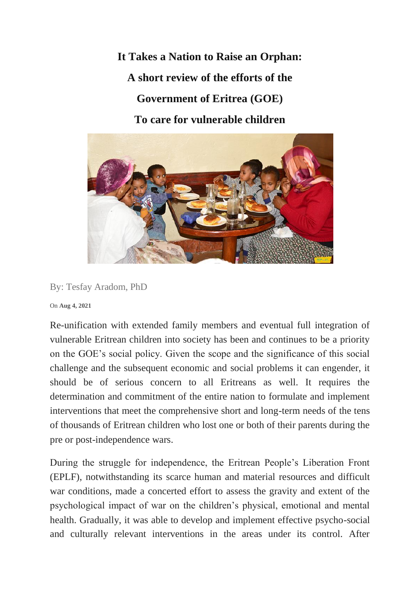**It Takes a Nation to Raise an Orphan: A short review of the efforts of the Government of Eritrea (GOE) To care for vulnerable children**



By: Tesfay Aradom, PhD

On **Aug 4, 2021**

Re-unification with extended family members and eventual full integration of vulnerable Eritrean children into society has been and continues to be a priority on the GOE's social policy. Given the scope and the significance of this social challenge and the subsequent economic and social problems it can engender, it should be of serious concern to all Eritreans as well. It requires the determination and commitment of the entire nation to formulate and implement interventions that meet the comprehensive short and long-term needs of the tens of thousands of Eritrean children who lost one or both of their parents during the pre or post-independence wars.

During the struggle for independence, the Eritrean People's Liberation Front (EPLF), notwithstanding its scarce human and material resources and difficult war conditions, made a concerted effort to assess the gravity and extent of the psychological impact of war on the children's physical, emotional and mental health. Gradually, it was able to develop and implement effective psycho-social and culturally relevant interventions in the areas under its control. After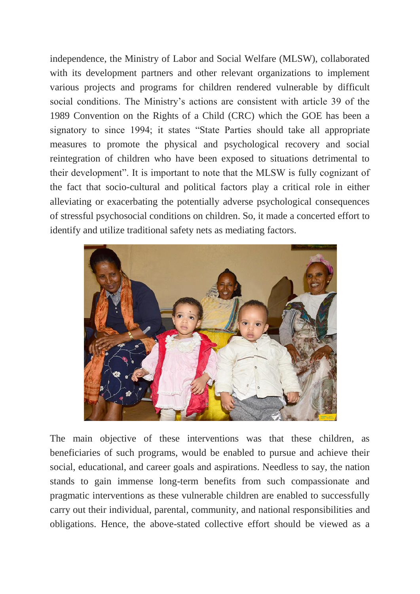independence, the Ministry of Labor and Social Welfare (MLSW), collaborated with its development partners and other relevant organizations to implement various projects and programs for children rendered vulnerable by difficult social conditions. The Ministry's actions are consistent with article 39 of the 1989 Convention on the Rights of a Child (CRC) which the GOE has been a signatory to since 1994; it states "State Parties should take all appropriate measures to promote the physical and psychological recovery and social reintegration of children who have been exposed to situations detrimental to their development". It is important to note that the MLSW is fully cognizant of the fact that socio-cultural and political factors play a critical role in either alleviating or exacerbating the potentially adverse psychological consequences of stressful psychosocial conditions on children. So, it made a concerted effort to identify and utilize traditional safety nets as mediating factors.



The main objective of these interventions was that these children, as beneficiaries of such programs, would be enabled to pursue and achieve their social, educational, and career goals and aspirations. Needless to say, the nation stands to gain immense long-term benefits from such compassionate and pragmatic interventions as these vulnerable children are enabled to successfully carry out their individual, parental, community, and national responsibilities and obligations. Hence, the above-stated collective effort should be viewed as a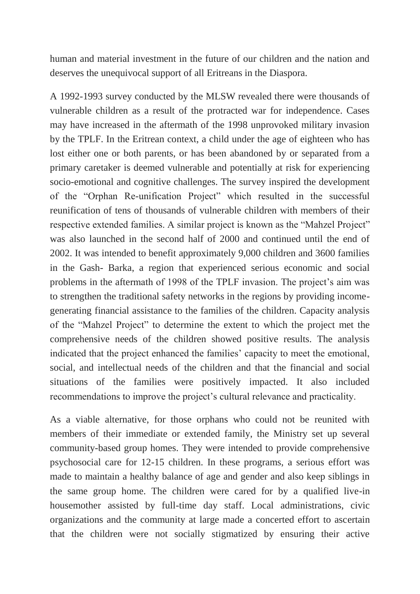human and material investment in the future of our children and the nation and deserves the unequivocal support of all Eritreans in the Diaspora.

A 1992-1993 survey conducted by the MLSW revealed there were thousands of vulnerable children as a result of the protracted war for independence. Cases may have increased in the aftermath of the 1998 unprovoked military invasion by the TPLF. In the Eritrean context, a child under the age of eighteen who has lost either one or both parents, or has been abandoned by or separated from a primary caretaker is deemed vulnerable and potentially at risk for experiencing socio-emotional and cognitive challenges. The survey inspired the development of the "Orphan Re-unification Project" which resulted in the successful reunification of tens of thousands of vulnerable children with members of their respective extended families. A similar project is known as the "Mahzel Project" was also launched in the second half of 2000 and continued until the end of 2002. It was intended to benefit approximately 9,000 children and 3600 families in the Gash- Barka, a region that experienced serious economic and social problems in the aftermath of 1998 of the TPLF invasion. The project's aim was to strengthen the traditional safety networks in the regions by providing incomegenerating financial assistance to the families of the children. Capacity analysis of the "Mahzel Project" to determine the extent to which the project met the comprehensive needs of the children showed positive results. The analysis indicated that the project enhanced the families' capacity to meet the emotional, social, and intellectual needs of the children and that the financial and social situations of the families were positively impacted. It also included recommendations to improve the project's cultural relevance and practicality.

As a viable alternative, for those orphans who could not be reunited with members of their immediate or extended family, the Ministry set up several community-based group homes. They were intended to provide comprehensive psychosocial care for 12-15 children. In these programs, a serious effort was made to maintain a healthy balance of age and gender and also keep siblings in the same group home. The children were cared for by a qualified live-in housemother assisted by full-time day staff. Local administrations, civic organizations and the community at large made a concerted effort to ascertain that the children were not socially stigmatized by ensuring their active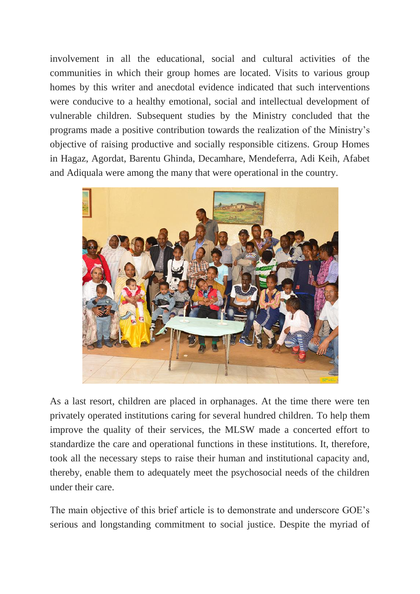involvement in all the educational, social and cultural activities of the communities in which their group homes are located. Visits to various group homes by this writer and anecdotal evidence indicated that such interventions were conducive to a healthy emotional, social and intellectual development of vulnerable children. Subsequent studies by the Ministry concluded that the programs made a positive contribution towards the realization of the Ministry's objective of raising productive and socially responsible citizens. Group Homes in Hagaz, Agordat, Barentu Ghinda, Decamhare, Mendeferra, Adi Keih, Afabet and Adiquala were among the many that were operational in the country.



As a last resort, children are placed in orphanages. At the time there were ten privately operated institutions caring for several hundred children. To help them improve the quality of their services, the MLSW made a concerted effort to standardize the care and operational functions in these institutions. It, therefore, took all the necessary steps to raise their human and institutional capacity and, thereby, enable them to adequately meet the psychosocial needs of the children under their care.

The main objective of this brief article is to demonstrate and underscore GOE's serious and longstanding commitment to social justice. Despite the myriad of